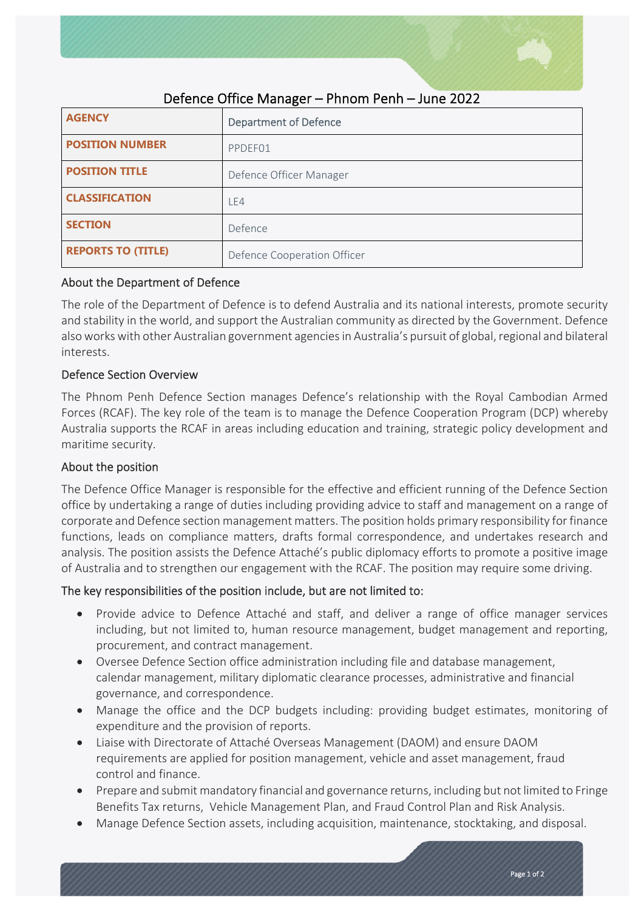

| <b>AGENCY</b>             | <b>Department of Defence</b> |
|---------------------------|------------------------------|
| <b>POSITION NUMBER</b>    | PPDEF01                      |
| <b>POSITION TITLE</b>     | Defence Officer Manager      |
| <b>CLASSIFICATION</b>     | LE4                          |
| <b>SECTION</b>            | Defence                      |
| <b>REPORTS TO (TITLE)</b> | Defence Cooperation Officer  |

# Defence Office Manager – Phnom Penh – June 2022

## About the Department of Defence

The role of the Department of Defence is to defend Australia and its national interests, promote security and stability in the world, and support the Australian community as directed by the Government. Defence also works with other Australian government agencies in Australia's pursuit of global, regional and bilateral interests.

## Defence Section Overview

The Phnom Penh Defence Section manages Defence's relationship with the Royal Cambodian Armed Forces (RCAF). The key role of the team is to manage the Defence Cooperation Program (DCP) whereby Australia supports the RCAF in areas including education and training, strategic policy development and maritime security.

# About the position

The Defence Office Manager is responsible for the effective and efficient running of the Defence Section office by undertaking a range of duties including providing advice to staff and management on a range of corporate and Defence section management matters. The position holds primary responsibility for finance functions, leads on compliance matters, drafts formal correspondence, and undertakes research and analysis. The position assists the Defence Attaché's public diplomacy efforts to promote a positive image of Australia and to strengthen our engagement with the RCAF. The position may require some driving.

# The key responsibilities of the position include, but are not limited to:

- Provide advice to Defence Attaché and staff, and deliver a range of office manager services including, but not limited to, human resource management, budget management and reporting, procurement, and contract management.
- Oversee Defence Section office administration including file and database management, calendar management, military diplomatic clearance processes, administrative and financial governance, and correspondence.
- Manage the office and the DCP budgets including: providing budget estimates, monitoring of expenditure and the provision of reports.
- Liaise with Directorate of Attaché Overseas Management (DAOM) and ensure DAOM requirements are applied for position management, vehicle and asset management, fraud control and finance.
- Prepare and submit mandatory financial and governance returns, including but not limited to Fringe Benefits Tax returns, Vehicle Management Plan, and Fraud Control Plan and Risk Analysis.
- Manage Defence Section assets, including acquisition, maintenance, stocktaking, and disposal.